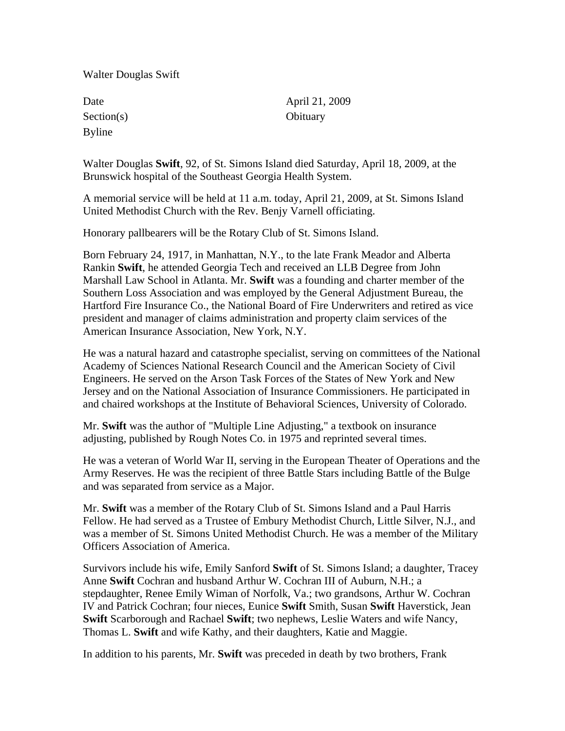Walter Douglas Swift

| Date          |
|---------------|
| Section(s)    |
| <b>Byline</b> |

April 21, 2009 Obituary

Walter Douglas **Swift**, 92, of St. Simons Island died Saturday, April 18, 2009, at the Brunswick hospital of the Southeast Georgia Health System.

A memorial service will be held at 11 a.m. today, April 21, 2009, at St. Simons Island United Methodist Church with the Rev. Benjy Varnell officiating.

Honorary pallbearers will be the Rotary Club of St. Simons Island.

Born February 24, 1917, in Manhattan, N.Y., to the late Frank Meador and Alberta Rankin **Swift**, he attended Georgia Tech and received an LLB Degree from John Marshall Law School in Atlanta. Mr. **Swift** was a founding and charter member of the Southern Loss Association and was employed by the General Adjustment Bureau, the Hartford Fire Insurance Co., the National Board of Fire Underwriters and retired as vice president and manager of claims administration and property claim services of the American Insurance Association, New York, N.Y.

He was a natural hazard and catastrophe specialist, serving on committees of the National Academy of Sciences National Research Council and the American Society of Civil Engineers. He served on the Arson Task Forces of the States of New York and New Jersey and on the National Association of Insurance Commissioners. He participated in and chaired workshops at the Institute of Behavioral Sciences, University of Colorado.

Mr. **Swift** was the author of "Multiple Line Adjusting," a textbook on insurance adjusting, published by Rough Notes Co. in 1975 and reprinted several times.

He was a veteran of World War II, serving in the European Theater of Operations and the Army Reserves. He was the recipient of three Battle Stars including Battle of the Bulge and was separated from service as a Major.

Mr. **Swift** was a member of the Rotary Club of St. Simons Island and a Paul Harris Fellow. He had served as a Trustee of Embury Methodist Church, Little Silver, N.J., and was a member of St. Simons United Methodist Church. He was a member of the Military Officers Association of America.

Survivors include his wife, Emily Sanford **Swift** of St. Simons Island; a daughter, Tracey Anne **Swift** Cochran and husband Arthur W. Cochran III of Auburn, N.H.; a stepdaughter, Renee Emily Wiman of Norfolk, Va.; two grandsons, Arthur W. Cochran IV and Patrick Cochran; four nieces, Eunice **Swift** Smith, Susan **Swift** Haverstick, Jean **Swift** Scarborough and Rachael **Swift**; two nephews, Leslie Waters and wife Nancy, Thomas L. **Swift** and wife Kathy, and their daughters, Katie and Maggie.

In addition to his parents, Mr. **Swift** was preceded in death by two brothers, Frank